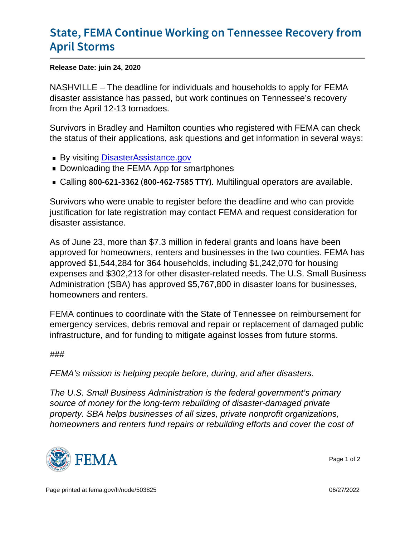## [State, FEMA Continue Working on T](https://www.fema.gov/press-release/20210318/state-fema-continue-working-tennessee-recovery-april-storms)enness [April St](https://www.fema.gov/press-release/20210318/state-fema-continue-working-tennessee-recovery-april-storms)orms

Release Date: juin 24, 2020

NASHVILLE – The deadline for individuals and households to apply for FEMA disaster assistance has passed, but work continues on Tennessee's recovery from the April 12-13 tornadoes.

Survivors in Bradley and Hamilton counties who registered with FEMA can check the status of their applications, ask questions and get information in several ways:

- By visiting [DisasterAssistance.gov](http://disasterassistance.gov/)
- **Downloading the FEMA App for smartphones**
- Calling  $800 621 3362$  ( $800 4$ M $\Omega$ dtilingual soperators) are available.

Survivors who were unable to register before the deadline and who can provide justification for late registration may contact FEMA and request consideration for disaster assistance.

As of June 23, more than \$7.3 million in federal grants and loans have been approved for homeowners, renters and businesses in the two counties. FEMA has approved \$1,544,284 for 364 households, including \$1,242,070 for housing expenses and \$302,213 for other disaster-related needs. The U.S. Small Business Administration (SBA) has approved \$5,767,800 in disaster loans for businesses, homeowners and renters.

FEMA continues to coordinate with the State of Tennessee on reimbursement for emergency services, debris removal and repair or replacement of damaged public infrastructure, and for funding to mitigate against losses from future storms.

## ###

FEMA's mission is helping people before, during, and after disasters.

The U.S. Small Business Administration is the federal government's primary source of money for the long-term rebuilding of disaster-damaged private property. SBA helps businesses of all sizes, private nonprofit organizations, homeowners and renters fund repairs or rebuilding efforts and cover the cost of



Page 1 of 2